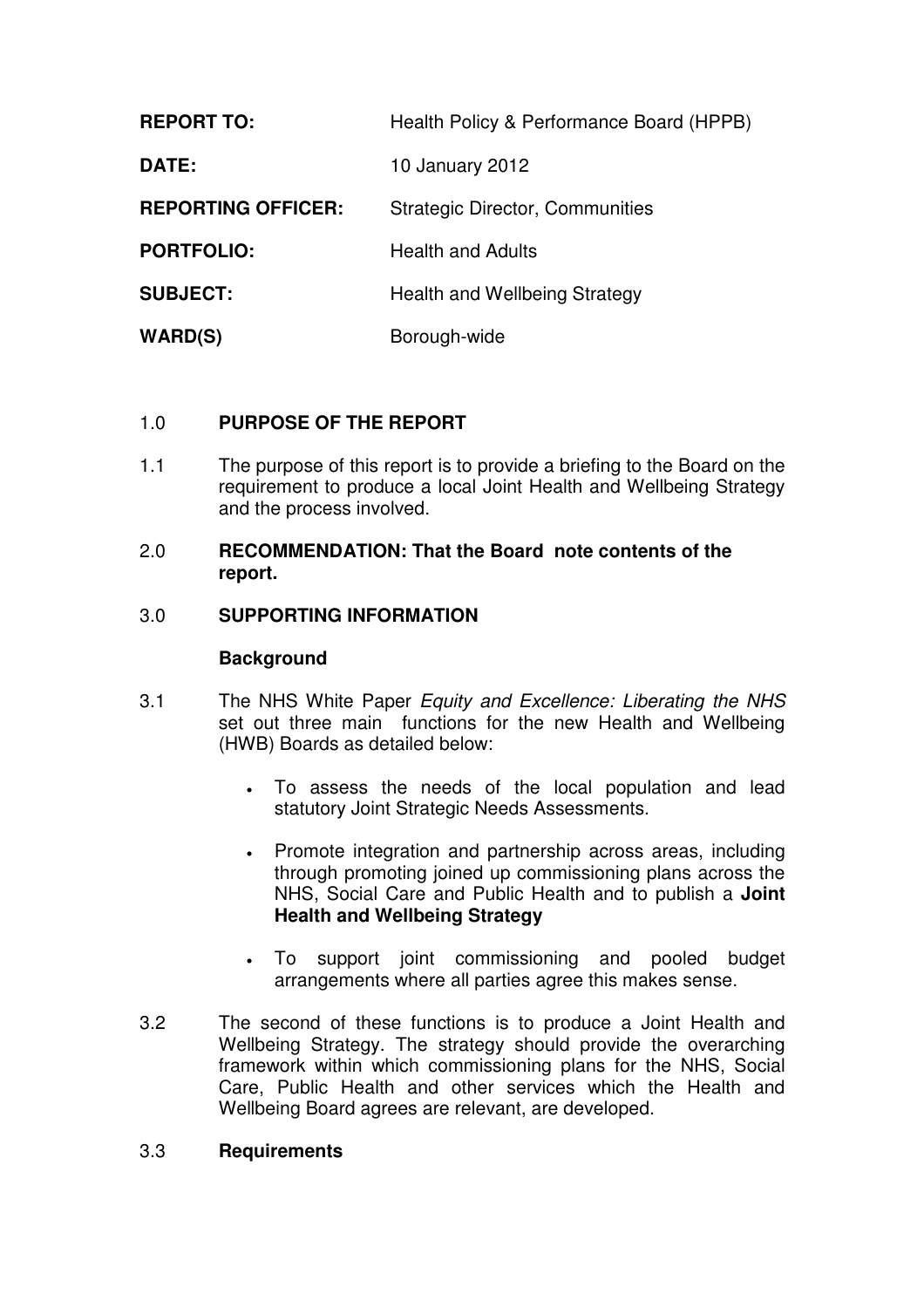| <b>REPORT TO:</b>         | Health Policy & Performance Board (HPPB) |  |
|---------------------------|------------------------------------------|--|
| <b>DATE:</b>              | 10 January 2012                          |  |
| <b>REPORTING OFFICER:</b> | <b>Strategic Director, Communities</b>   |  |
| <b>PORTFOLIO:</b>         | <b>Health and Adults</b>                 |  |
| <b>SUBJECT:</b>           | <b>Health and Wellbeing Strategy</b>     |  |
| <b>WARD(S)</b>            | Borough-wide                             |  |

# 1.0 **PURPOSE OF THE REPORT**

1.1 The purpose of this report is to provide a briefing to the Board on the requirement to produce a local Joint Health and Wellbeing Strategy and the process involved.

## 2.0 **RECOMMENDATION: That the Board note contents of the report.**

### 3.0 **SUPPORTING INFORMATION**

### **Background**

- 3.1 The NHS White Paper Equity and Excellence: Liberating the NHS set out three main functions for the new Health and Wellbeing (HWB) Boards as detailed below:
	- To assess the needs of the local population and lead statutory Joint Strategic Needs Assessments.
	- Promote integration and partnership across areas, including through promoting joined up commissioning plans across the NHS, Social Care and Public Health and to publish a **Joint Health and Wellbeing Strategy**
	- To support joint commissioning and pooled budget arrangements where all parties agree this makes sense.
- 3.2 The second of these functions is to produce a Joint Health and Wellbeing Strategy. The strategy should provide the overarching framework within which commissioning plans for the NHS, Social Care, Public Health and other services which the Health and Wellbeing Board agrees are relevant, are developed.

## 3.3 **Requirements**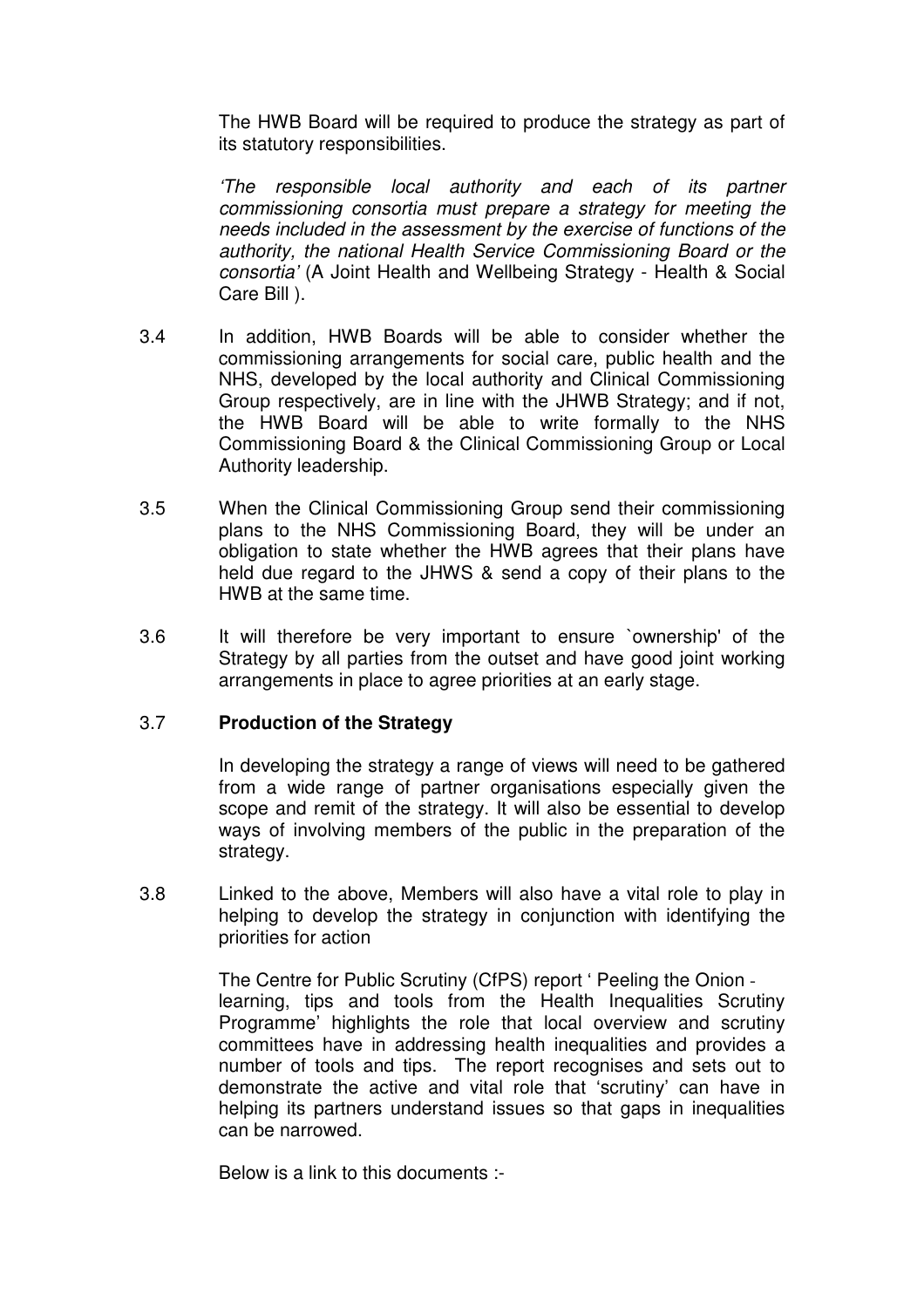The HWB Board will be required to produce the strategy as part of its statutory responsibilities.

'The responsible local authority and each of its partner commissioning consortia must prepare a strategy for meeting the needs included in the assessment by the exercise of functions of the authority, the national Health Service Commissioning Board or the consortia' (A Joint Health and Wellbeing Strategy - Health & Social Care Bill ).

- 3.4 In addition, HWB Boards will be able to consider whether the commissioning arrangements for social care, public health and the NHS, developed by the local authority and Clinical Commissioning Group respectively, are in line with the JHWB Strategy; and if not, the HWB Board will be able to write formally to the NHS Commissioning Board & the Clinical Commissioning Group or Local Authority leadership.
- 3.5 When the Clinical Commissioning Group send their commissioning plans to the NHS Commissioning Board, they will be under an obligation to state whether the HWB agrees that their plans have held due regard to the JHWS & send a copy of their plans to the HWB at the same time.
- 3.6 It will therefore be very important to ensure `ownership' of the Strategy by all parties from the outset and have good joint working arrangements in place to agree priorities at an early stage.

### 3.7 **Production of the Strategy**

In developing the strategy a range of views will need to be gathered from a wide range of partner organisations especially given the scope and remit of the strategy. It will also be essential to develop ways of involving members of the public in the preparation of the strategy.

3.8 Linked to the above, Members will also have a vital role to play in helping to develop the strategy in conjunction with identifying the priorities for action

> The Centre for Public Scrutiny (CfPS) report ' Peeling the Onion learning, tips and tools from the Health Inequalities Scrutiny Programme' highlights the role that local overview and scrutiny committees have in addressing health inequalities and provides a number of tools and tips. The report recognises and sets out to demonstrate the active and vital role that 'scrutiny' can have in helping its partners understand issues so that gaps in inequalities can be narrowed.

Below is a link to this documents :-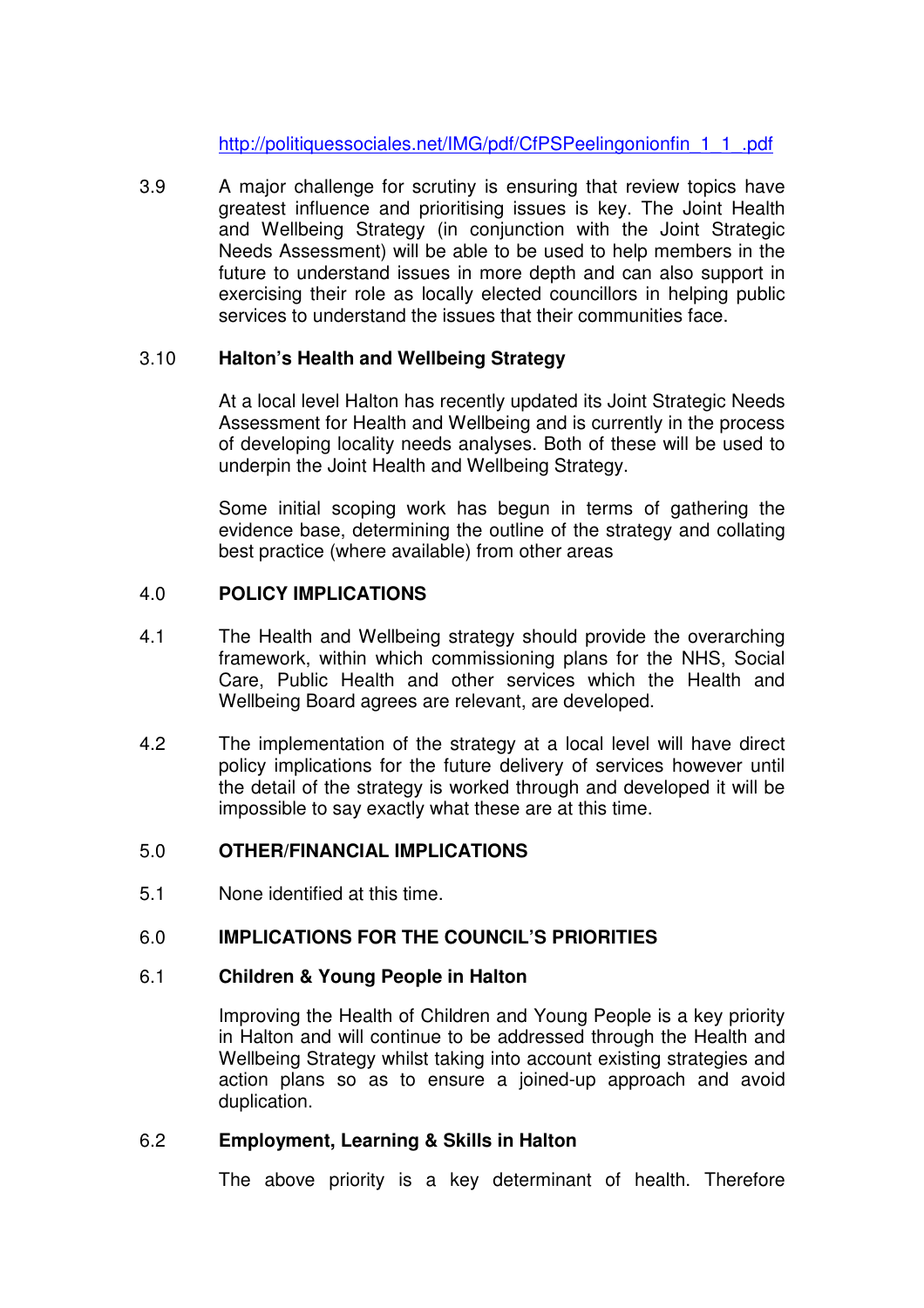http://politiquessociales.net/IMG/pdf/CfPSPeelingonionfin\_1\_1\_.pdf

3.9 A major challenge for scrutiny is ensuring that review topics have greatest influence and prioritising issues is key. The Joint Health and Wellbeing Strategy (in conjunction with the Joint Strategic Needs Assessment) will be able to be used to help members in the future to understand issues in more depth and can also support in exercising their role as locally elected councillors in helping public services to understand the issues that their communities face.

# 3.10 **Halton's Health and Wellbeing Strategy**

At a local level Halton has recently updated its Joint Strategic Needs Assessment for Health and Wellbeing and is currently in the process of developing locality needs analyses. Both of these will be used to underpin the Joint Health and Wellbeing Strategy.

Some initial scoping work has begun in terms of gathering the evidence base, determining the outline of the strategy and collating best practice (where available) from other areas

## 4.0 **POLICY IMPLICATIONS**

- 4.1 The Health and Wellbeing strategy should provide the overarching framework, within which commissioning plans for the NHS, Social Care, Public Health and other services which the Health and Wellbeing Board agrees are relevant, are developed.
- 4.2 The implementation of the strategy at a local level will have direct policy implications for the future delivery of services however until the detail of the strategy is worked through and developed it will be impossible to say exactly what these are at this time.

### 5.0 **OTHER/FINANCIAL IMPLICATIONS**

5.1 None identified at this time.

### 6.0 **IMPLICATIONS FOR THE COUNCIL'S PRIORITIES**

#### 6.1 **Children & Young People in Halton**

Improving the Health of Children and Young People is a key priority in Halton and will continue to be addressed through the Health and Wellbeing Strategy whilst taking into account existing strategies and action plans so as to ensure a joined-up approach and avoid duplication.

### 6.2 **Employment, Learning & Skills in Halton**

The above priority is a key determinant of health. Therefore